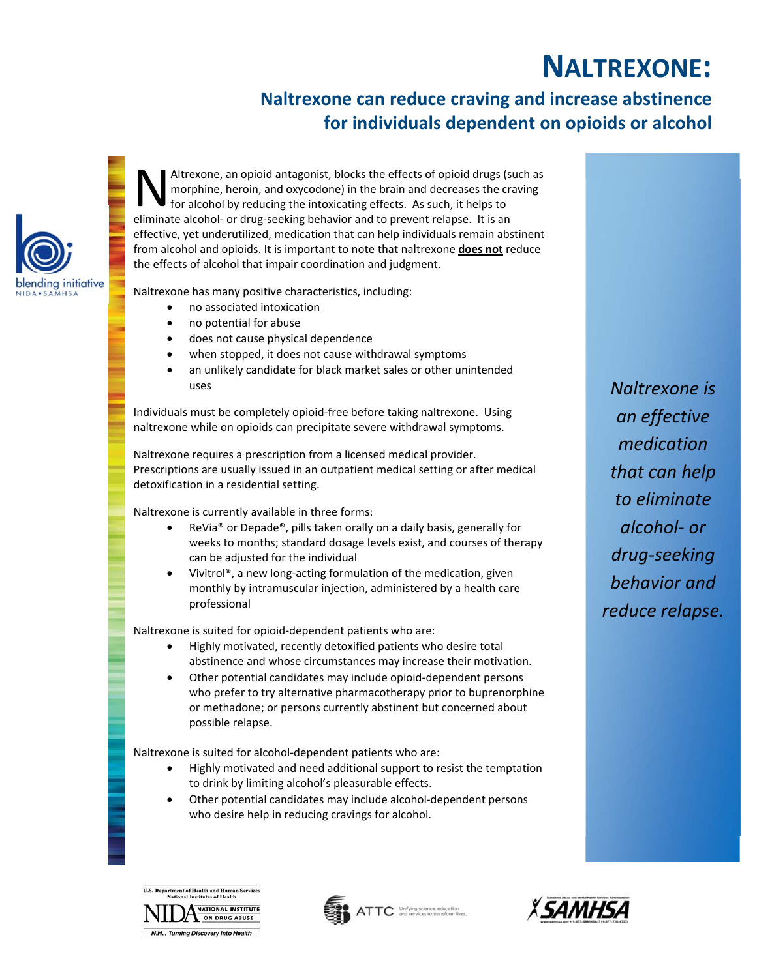## **NALTREXONE:**

## **Naltrexone can reduce craving and increase abstinence for individuals dependent on opioids or alcohol**



Altrexone, an opioid antagonist, blocks the effects of opioid drugs (such as morphine, heroin, and oxycodone) in the brain and decreases the craving for alcohol by reducing the intoxicating effects. As such, it helps to Altrexone, an opioid antagonist, blocks the effects of opioid drugs (s<br>morphine, heroin, and oxycodone) in the brain and decreases the cr<br>for alcohol by reducing the intoxicating effects. As such, it helps to<br>eliminate alc effective, yet underutilized, medication that can help individuals remain abstinent from alcohol and opioids. It is important to note that naltrexone **does not** reduce the effects of alcohol that impair coordination and judgment.

Naltrexone has many positive characteristics, including:

- no associated intoxication
- no potential for abuse
- does not cause physical dependence
- when stopped, it does not cause withdrawal symptoms
- an unlikely candidate for black market sales or other unintended uses

Individuals must be completely opioid‐free before taking naltrexone. Using naltrexone while on opioids can precipitate severe withdrawal symptoms.

Naltrexone requires a prescription from a licensed medical provider. Prescriptions are usually issued in an outpatient medical setting or after medical detoxification in a residential setting.

Naltrexone is currently available in three forms:

- ReVia® or Depade®, pills taken orally on a daily basis, generally for weeks to months; standard dosage levels exist, and courses of therapy can be adjusted for the individual
- Vivitrol®, a new long‐acting formulation of the medication, given monthly by intramuscular injection, administered by a health care professional

Naltrexone is suited for opioid‐dependent patients who are:

- $\bullet$  Highly motivated, recently detoxified patients who desire total abstinence and whose circumstances may increase their motivation.
- Other potential candidates may include opioid‐dependent persons who prefer to try alternative pharmacotherapy prior to buprenorphine or methadone; or persons currently abstinent but concerned about possible relapse.

Naltrexone is suited for alcohol‐dependent patients who are:

- Highly motivated and need additional support to resist the temptation to drink by limiting alcohol's pleasurable effects.
- Other potential candidates may include alcohol‐dependent persons who desire help in reducing cravings for alcohol.

*Naltrexone is an effective medication that can help to eliminate alcohol‐ or drug‐seeking behavior and reduce relapse.*



*<u>Property</u>*